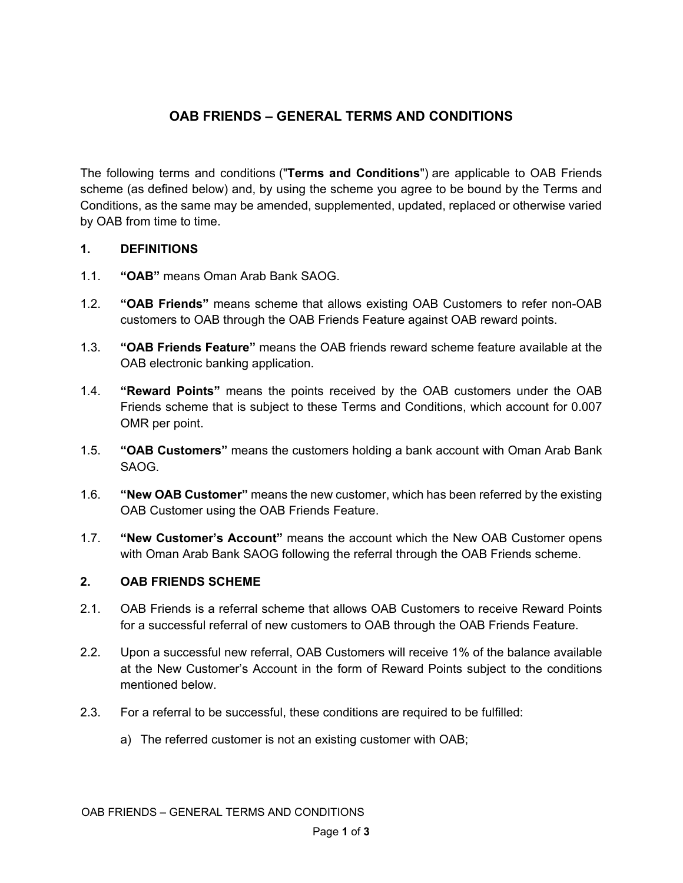# **OAB FRIENDS – GENERAL TERMS AND CONDITIONS**

The following terms and conditions ("**Terms and Conditions**") are applicable to OAB Friends scheme (as defined below) and, by using the scheme you agree to be bound by the Terms and Conditions, as the same may be amended, supplemented, updated, replaced or otherwise varied by OAB from time to time.

#### **1. DEFINITIONS**

- 1.1. **"OAB"** means Oman Arab Bank SAOG.
- 1.2. **"OAB Friends"** means scheme that allows existing OAB Customers to refer non-OAB customers to OAB through the OAB Friends Feature against OAB reward points.
- 1.3. **"OAB Friends Feature"** means the OAB friends reward scheme feature available at the OAB electronic banking application.
- 1.4. **"Reward Points"** means the points received by the OAB customers under the OAB Friends scheme that is subject to these Terms and Conditions, which account for 0.007 OMR per point.
- 1.5. **"OAB Customers"** means the customers holding a bank account with Oman Arab Bank SAOG.
- 1.6. **"New OAB Customer"** means the new customer, which has been referred by the existing OAB Customer using the OAB Friends Feature.
- 1.7. **"New Customer's Account"** means the account which the New OAB Customer opens with Oman Arab Bank SAOG following the referral through the OAB Friends scheme.

## **2. OAB FRIENDS SCHEME**

- 2.1. OAB Friends is a referral scheme that allows OAB Customers to receive Reward Points for a successful referral of new customers to OAB through the OAB Friends Feature.
- 2.2. Upon a successful new referral, OAB Customers will receive 1% of the balance available at the New Customer's Account in the form of Reward Points subject to the conditions mentioned below.
- <span id="page-0-0"></span>2.3. For a referral to be successful, these conditions are required to be fulfilled:
	- a) The referred customer is not an existing customer with OAB;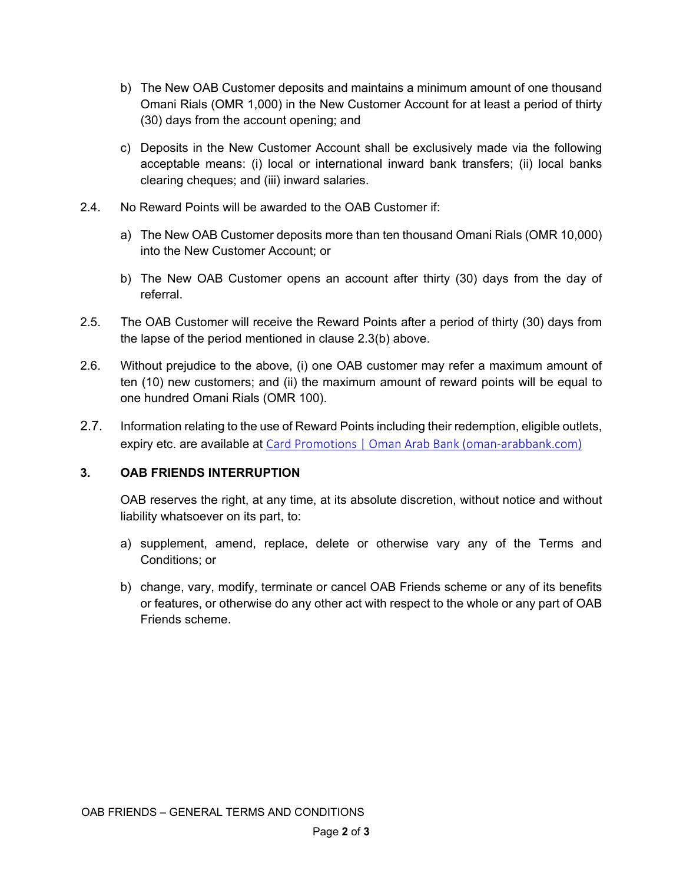- b) The New OAB Customer deposits and maintains a minimum amount of one thousand Omani Rials (OMR 1,000) in the New Customer Account for at least a period of thirty (30) days from the account opening; and
- c) Deposits in the New Customer Account shall be exclusively made via the following acceptable means: (i) local or international inward bank transfers; (ii) local banks clearing cheques; and (iii) inward salaries.
- 2.4. No Reward Points will be awarded to the OAB Customer if:
	- a) The New OAB Customer deposits more than ten thousand Omani Rials (OMR 10,000) into the New Customer Account; or
	- b) The New OAB Customer opens an account after thirty (30) days from the day of referral.
- 2.5. The OAB Customer will receive the Reward Points after a period of thirty (30) days from the lapse of the period mentioned in clause [2.3\(](#page-0-0)b) above.
- 2.6. Without prejudice to the above, (i) one OAB customer may refer a maximum amount of ten (10) new customers; and (ii) the maximum amount of reward points will be equal to one hundred Omani Rials (OMR 100).
- 2.7. Information relating to the use of Reward Points including their redemption, eligible outlets, expiry etc. are available at Card Promotions | [Oman Arab Bank \(oman-arabbank.com\)](https://www.oman-arabbank.com/home/personal-banking/cards/card-promotions/)

## **3. OAB FRIENDS INTERRUPTION**

OAB reserves the right, at any time, at its absolute discretion, without notice and without liability whatsoever on its part, to:

- a) supplement, amend, replace, delete or otherwise vary any of the Terms and Conditions; or
- b) change, vary, modify, terminate or cancel OAB Friends scheme or any of its benefits or features, or otherwise do any other act with respect to the whole or any part of OAB Friends scheme.